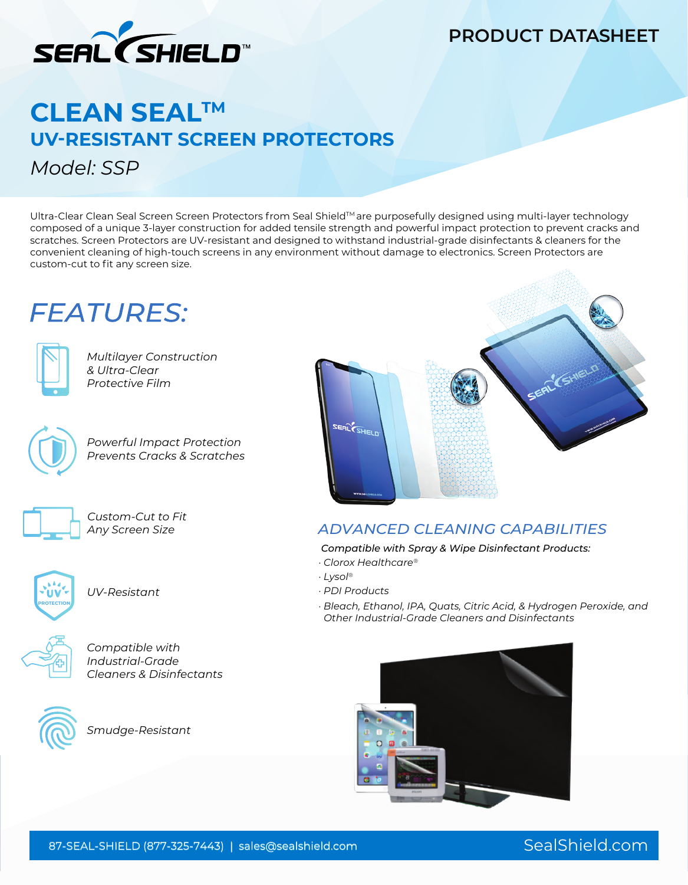

### **PRODUCT DATASHEET**

# **CLEAN SEALTM UV-RESISTANT SCREEN PROTECTORS**  *Model: SSP*

Ultra-Clear Clean Seal Screen Screen Protectors from Seal ShieldTM are purposefully designed using multi-layer technology composed of a unique 3-layer construction for added tensile strength and powerful impact protection to prevent cracks and scratches. Screen Protectors are UV-resistant and designed to withstand industrial-grade disinfectants & cleaners for the convenient cleaning of high-touch screens in any environment without damage to electronics. Screen Protectors are custom-cut to fit any screen size.

# **FEATURES:**



*Multilayer Construction & Ultra-Clear Protective Film*



*Powerful Impact Protection Prevents Cracks & Scratches*



*Custom-Cut to Fit Any Screen Size*



*UV-Resistant*



*Compatible with Industrial-Grade Cleaners & Disinfectants*



*Smudge-Resistant*



### *ADVANCED CLEANING CAPABILITIES*

*Compatible with Spray & Wipe Disinfectant Products:*

*· Clorox Healthcare®*

- *· Lysol®*
- *· PDI Products*

*· Bleach, Ethanol, IPA, Quats, Citric Acid, & Hydrogen Peroxide, and Other Industrial-Grade Cleaners and Disinfectants*